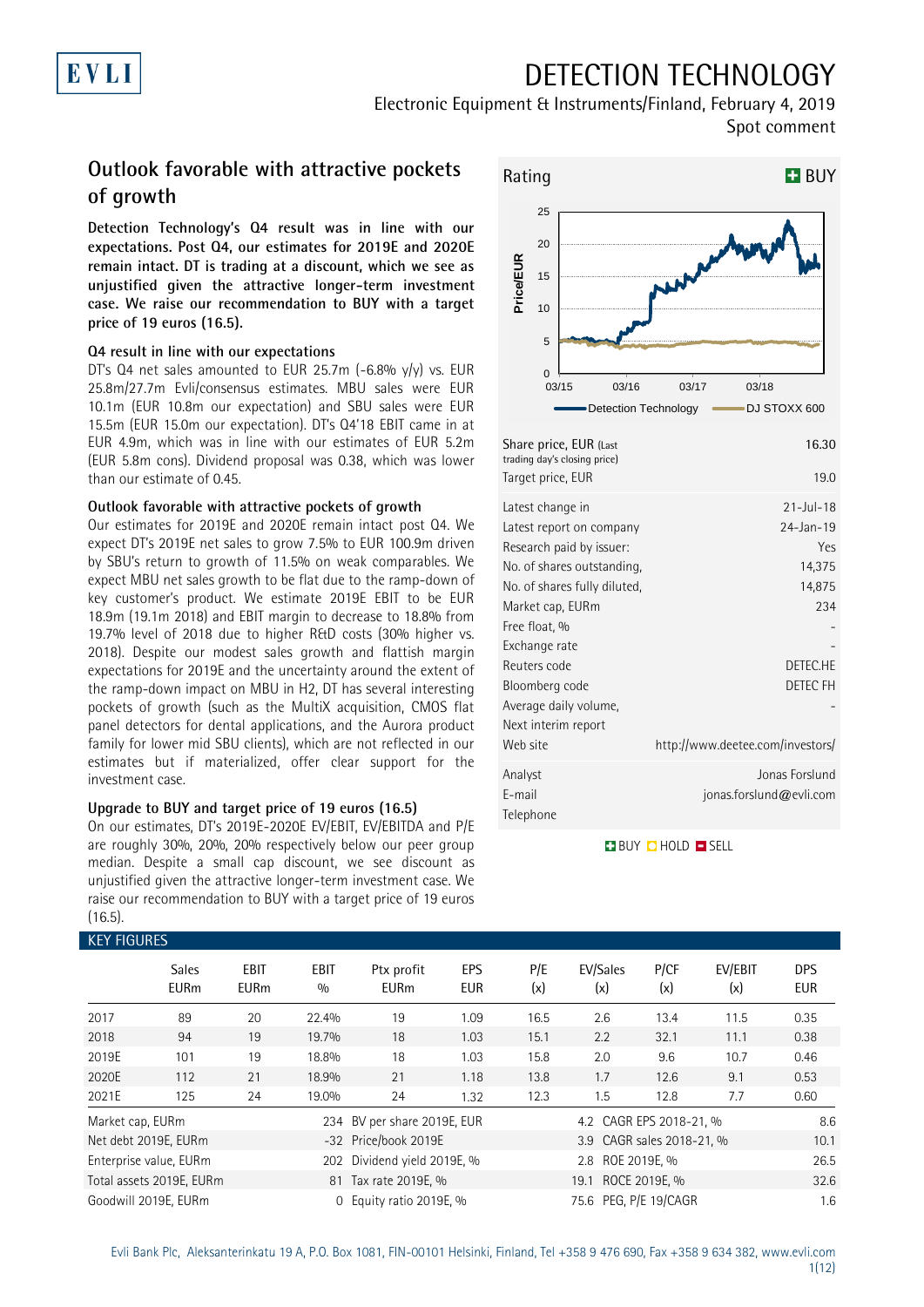## DETECTION TECHNOLOGY

Electronic Equipment & Instruments/Finland, February 4, 2019 Spot comment

## **Outlook favorable with attractive pockets of growth**

**Detection Technology's Q4 result was in line with our expectations. Post Q4, our estimates for 2019E and 2020E remain intact. DT is trading at a discount, which we see as unjustified given the attractive longer-term investment case. We raise our recommendation to BUY with a target price of 19 euros (16.5).**

### **Q4 result in line with our expectations**

DT's Q4 net sales amounted to EUR 25.7m  $(-6.8\% \text{ y/y})$  vs. EUR 25.8m/27.7m Evli/consensus estimates. MBU sales were EUR 10.1m (EUR 10.8m our expectation) and SBU sales were EUR 15.5m (EUR 15.0m our expectation). DT's Q4'18 EBIT came in at EUR 4.9m, which was in line with our estimates of EUR 5.2m (EUR 5.8m cons). Dividend proposal was 0.38, which was lower than our estimate of 0.45.

### **Outlook favorable with attractive pockets of growth**

Our estimates for 2019E and 2020E remain intact post Q4. We expect DT's 2019E net sales to grow 7.5% to EUR 100.9m driven by SBU's return to growth of 11.5% on weak comparables. We expect MBU net sales growth to be flat due to the ramp-down of key customer's product. We estimate 2019E EBIT to be EUR 18.9m (19.1m 2018) and EBIT margin to decrease to 18.8% from 19.7% level of 2018 due to higher R&D costs (30% higher vs. 2018). Despite our modest sales growth and flattish margin expectations for 2019E and the uncertainty around the extent of the ramp-down impact on MBU in H2, DT has several interesting pockets of growth (such as the MultiX acquisition, CMOS flat panel detectors for dental applications, and the Aurora product family for lower mid SBU clients), which are not reflected in our estimates but if materialized, offer clear support for the investment case.

### **Upgrade to BUY and target price of 19 euros (16.5)**

On our estimates, DT's 2019E-2020E EV/EBIT, EV/EBITDA and P/E are roughly 30%, 20%, 20% respectively below our peer group median. Despite a small cap discount, we see discount as unjustified given the attractive longer-term investment case. We raise our recommendation to BUY with a target price of 19 euros (16.5).



| Share price, EUR (Last<br>trading day's closing price) | 16.30                            |
|--------------------------------------------------------|----------------------------------|
| Target price, EUR                                      | 19.0                             |
| Latest change in                                       | $21 - Jul - 18$                  |
| Latest report on company<br>Research paid by issuer:   | $24 - Jan - 19$<br>Yes           |
| No. of shares outstanding,                             | 14,375                           |
| No. of shares fully diluted,                           | 14,875                           |
| Market cap, EURm                                       | 234                              |
| Free float, %                                          |                                  |
| Exchange rate                                          |                                  |
| Reuters code                                           | DETEC HE                         |
| Bloomberg code                                         | <b>DETEC FH</b>                  |
| Average daily volume,                                  |                                  |
| Next interim report                                    |                                  |
| Web site                                               | http://www.deetee.com/investors/ |
| Analyst                                                | Jonas Forslund                   |
| F-mail                                                 | jonas.forslund@evli.com          |
| Telephone                                              |                                  |

**BUY QHOLD SELL** 

| <b>KEY FIGURES</b> |                             |                            |                    |                                               |                   |            |                           |                              |                |                          |  |  |
|--------------------|-----------------------------|----------------------------|--------------------|-----------------------------------------------|-------------------|------------|---------------------------|------------------------------|----------------|--------------------------|--|--|
|                    | <b>Sales</b><br><b>EURm</b> | <b>EBIT</b><br><b>EURm</b> | <b>EBIT</b><br>0/0 | Ptx profit<br><b>EURm</b>                     | EPS<br><b>EUR</b> | P/E<br>(x) | EV/Sales<br>(x)           | P/CF<br>(x)                  | EV/EBIT<br>(x) | <b>DPS</b><br><b>EUR</b> |  |  |
| 2017               | 89                          | 20                         | 22.4%              | 19                                            | 1.09              | 16.5       | 2.6                       | 13.4                         | 11.5           | 0.35                     |  |  |
| 2018               | 94                          | 19                         | 19.7%              | 18                                            | 1.03              | 15.1       | 2.2                       | 32.1                         | 11.1           | 0.38                     |  |  |
| 2019E              | 101                         | 19                         | 18.8%              | 18                                            | 1.03              | 15.8       | 2.0                       | 9.6                          | 10.7           | 0.46                     |  |  |
| 2020E              | 112                         | 21                         | 18.9%              | 21                                            | 1.18              | 13.8       | 1.7                       | 12.6                         | 9.1            | 0.53                     |  |  |
| 2021E              | 125                         | 24                         | 19.0%              | 24                                            | 1.32              | 12.3       | 1.5                       | 12.8                         | 7.7            | 0.60                     |  |  |
| Market cap, EURm   |                             |                            |                    | 234 BV per share 2019E, EUR                   |                   |            | 4.2 CAGR EPS 2018-21, %   |                              |                | 8.6                      |  |  |
|                    | Net debt 2019E, EURm        |                            |                    | -32 Price/book 2019E                          |                   |            | 3.9 CAGR sales 2018-21, % |                              |                |                          |  |  |
|                    | Enterprise value, EURm      |                            | 202                | Dividend yield 2019E, %                       |                   |            | 2.8 ROE 2019E, %          |                              | 26.5           |                          |  |  |
|                    | Total assets 2019E, EURm    |                            |                    | ROCE 2019E, %<br>81 Tax rate 2019E, %<br>19.1 |                   |            |                           |                              |                | 32.6                     |  |  |
|                    | Goodwill 2019E, EURm        |                            | $\Omega$           | Equity ratio 2019E, %                         |                   |            |                           | 75.6 PEG, P/E 19/CAGR<br>1.6 |                |                          |  |  |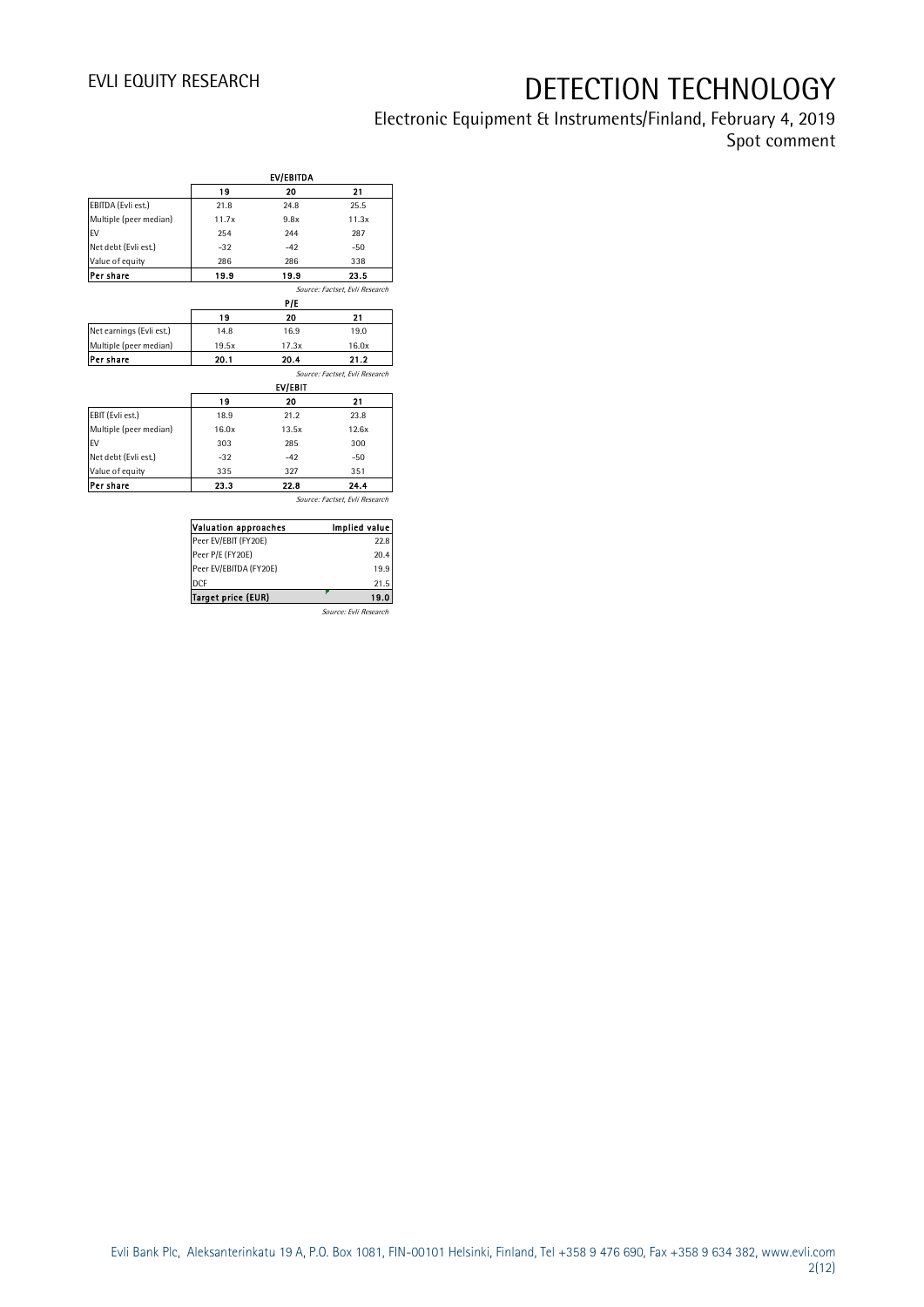Electronic Equipment & Instruments/Finland, February 4, 2019 Spot comment

|                          |       | EV/EBITDA |                                |
|--------------------------|-------|-----------|--------------------------------|
|                          | 19    | 20        | 21                             |
| EBITDA (Evli est.)       | 21.8  | 24.8      | 25.5                           |
| Multiple (peer median)   | 11.7x | 9.8x      | 11.3x                          |
| <b>FV</b>                | 254   | 244       | 287                            |
| Net debt (Evli est.)     | $-32$ | $-42$     | $-50$                          |
| Value of equity          | 286   | 286       | 338                            |
| Per share                | 19.9  | 19.9      | 23.5                           |
|                          |       |           | Source: Factset, Evli Research |
|                          |       | P/E       |                                |
|                          | 19    | 20        | 21                             |
| Net earnings (Evli est.) | 14.8  | 16.9      | 19.0                           |
| Multiple (peer median)   | 19.5x | 17.3x     | 16.0x                          |
| Per share                | 20.1  | 20.4      | 21.2                           |
|                          |       |           | Source: Factset. Evli Research |
|                          |       | EV/EBIT   |                                |
|                          | 19    | 20        | 21                             |
| EBIT (Evli est.)         | 18.9  | 21.2      | 23.8                           |
| Multiple (peer median)   | 16.0x | 13.5x     | 12.6x                          |
| <b>FV</b>                | 303   | 28.5      | 300                            |
| Net debt (Evli est.)     | $-32$ | $-42$     | $-50$                          |
| Value of equity          | 335   | 327       | 351                            |
| Per share                | 23.3  | 22.8      | 24.4                           |

Source: Factset, Evli Research

| <b>Valuation approaches</b> | Implied value         |
|-----------------------------|-----------------------|
| Peer EV/EBIT (FY20E)        | 22.8                  |
| Peer P/E (FY20E)            | 20.4                  |
| Peer EV/EBITDA (FY20E)      | 19.9                  |
| <b>DCF</b>                  | 21.5                  |
| <b>Target price (EUR)</b>   | 19.0                  |
|                             | Source: Evli Research |

Evli Bank Plc, Aleksanterinkatu 19 A, P.O. Box 1081, FIN-00101 Helsinki, Finland, Tel +358 9 476 690, Fax +358 9 634 382, [www.evli.com](http://www.evli.com/) 2(12)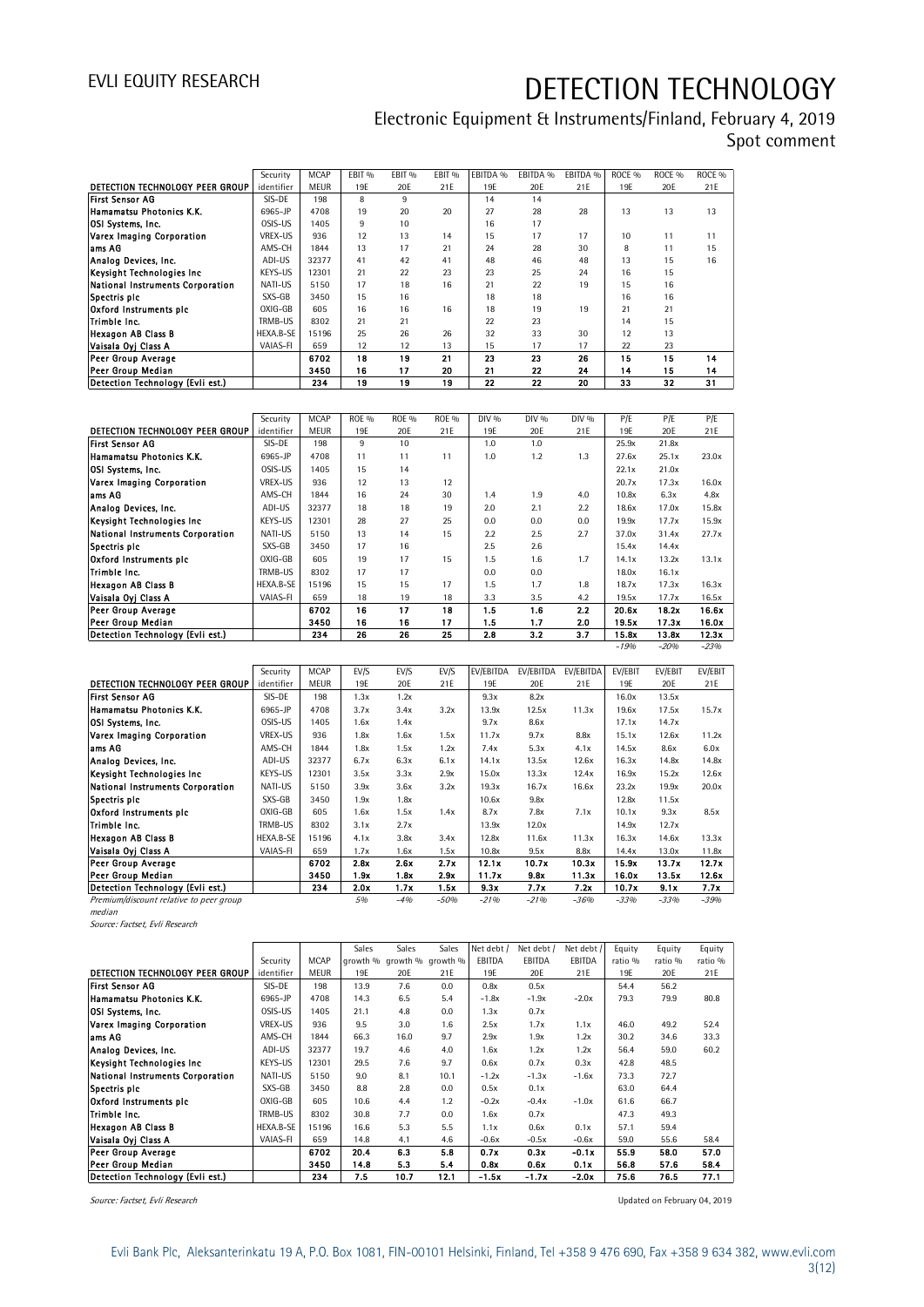Electronic Equipment & Instruments/Finland, February 4, 2019 Spot comment

|                                  | Security   | <b>MCAP</b> | EBIT <sub>%</sub> | EBIT <sub>%</sub> | EBIT <sub>%</sub> | EBITDA % | EBITDA % | EBITDA % | ROCE <sub>%</sub> | ROCE <sub>%</sub> | ROCE <sub>%</sub> |  |  |  |
|----------------------------------|------------|-------------|-------------------|-------------------|-------------------|----------|----------|----------|-------------------|-------------------|-------------------|--|--|--|
| DETECTION TECHNOLOGY PEER GROUP  | identifier | <b>MEUR</b> | 19E               | 20E               | 21E               | 19E      | 20E      | 21E      | 19E               | 20E               | 21E               |  |  |  |
| <b>First Sensor AG</b>           | SIS-DE     | 198         | 8                 | 9                 |                   | 14       | 14       |          |                   |                   |                   |  |  |  |
| Hamamatsu Photonics K.K.         | 6965-JP    | 4708        | 19                | 20                | 20                | 27       | 28       | 28       | 13                | 13                | 13                |  |  |  |
| OSI Systems, Inc.                | OSIS-US    | 1405        | 9                 | 10                |                   | 16       | 17       |          |                   |                   |                   |  |  |  |
| Varex Imaging Corporation        | VREX-US    | 936         | 12                | 13                | 14                | 15       | 17       | 17       | 10                | 11                | 11                |  |  |  |
| ams AG                           | AMS-CH     | 1844        | 13                | 17                | 21                | 24       | 28       | 30       | 8                 | 11                | 15                |  |  |  |
| Analog Devices, Inc.             | ADI-US     | 32377       | 41                | 42                | 41                | 48       | 46       | 48       | 13                | 15                | 16                |  |  |  |
| Keysight Technologies Inc        | KEYS-US    | 12301       | 21                | 22                | 23                | 23       | 25       | 24       | 16                | 15                |                   |  |  |  |
| National Instruments Corporation | NATI-US    | 5150        | 17                | 18                | 16                | 21       | 22       | 19       | 15                | 16                |                   |  |  |  |
| Spectris plc                     | SXS-GB     | 3450        | 15                | 16                |                   | 18       | 18       |          | 16                | 16                |                   |  |  |  |
| Oxford Instruments pic           | OXIG-GB    | 605         | 16                | 16                | 16                | 18       | 19       | 19       | 21                | 21                |                   |  |  |  |
| Trimble Inc.                     | TRMB-US    | 8302        | 21                | 21                |                   | 22       | 23       |          | 14                | 15                |                   |  |  |  |
| <b>Hexagon AB Class B</b>        | HEXA.B-SE  | 15196       | 25                | 26                | 26                | 32       | 33       | 30       | 12                | 13                |                   |  |  |  |
| Vaisala Ovi Class A              | VAIAS-FI   | 659         | 12                | 12                | 13                | 15       | 17       | 17       | 22                | 23                |                   |  |  |  |
| Peer Group Average               |            | 6702        | 18                | 19                | 21                | 23       | 23       | 26       | 15                | 15                | 14                |  |  |  |
| Peer Group Median                |            | 3450        | 16                | 17                | 20                | 21       | 22       | 24       | 14                | 15                | 14                |  |  |  |
| Detection Technology (Evli est.) |            | 234         | 19                | 19                | 19                | 22       | 22       | 20       | 33                | 32                | 31                |  |  |  |

| Peer Group Median                |            | 3450        | 16           | 17           | 20           | 21    | 22    | 24    | 14     | 15     | 14     |
|----------------------------------|------------|-------------|--------------|--------------|--------------|-------|-------|-------|--------|--------|--------|
| Detection Technology (Evli est.) |            | 234         | 19           | 19           | 19           | 22    | 22    | 20    | 33     | 32     | 31     |
|                                  |            |             |              |              |              |       |       |       |        |        |        |
|                                  | Security   | <b>MCAP</b> | <b>ROE %</b> | <b>ROE %</b> | <b>ROE %</b> | DIV % | DIV % | DIV % | P/E    | P/E    | P/E    |
| DETECTION TECHNOLOGY PEER GROUP  | identifier | <b>MEUR</b> | 19E          | 20E          | 21E          | 19E   | 20E   | 21E   | 19E    | 20E    | 21E    |
| <b>First Sensor AG</b>           | SIS-DE     | 198         | 9            | 10           |              | 1.0   | 1.0   |       | 25.9x  | 21.8x  |        |
| Hamamatsu Photonics K.K.         | 6965-JP    | 4708        | 11           | 11           | 11           | 1.0   | 1.2   | 1.3   | 27.6x  | 25.1x  | 23.0x  |
| OSI Systems, Inc.                | OSIS-US    | 1405        | 15           | 14           |              |       |       |       | 22.1x  | 21.0x  |        |
| Varex Imaging Corporation        | VREX-US    | 936         | 12           | 13           | 12           |       |       |       | 20.7x  | 17.3x  | 16.0x  |
| lams AG                          | AMS-CH     | 1844        | 16           | 24           | 30           | 1.4   | 1.9   | 4.0   | 10.8x  | 6.3x   | 4.8x   |
| Analog Devices, Inc.             | ADI-US     | 32377       | 18           | 18           | 19           | 2.0   | 2.1   | 2.2   | 18.6x  | 17.0x  | 15.8x  |
| Keysight Technologies Inc.       | KEYS-US    | 12301       | 28           | 27           | 25           | 0.0   | 0.0   | 0.0   | 19.9x  | 17.7x  | 15.9x  |
| National Instruments Corporation | NATI-US    | 5150        | 13           | 14           | 15           | 2.2   | 2.5   | 2.7   | 37.0x  | 31.4x  | 27.7x  |
| Spectris plc                     | SXS-GB     | 3450        | 17           | 16           |              | 2.5   | 2.6   |       | 15.4x  | 14.4x  |        |
| Oxford Instruments pic           | OXIG-GB    | 605         | 19           | 17           | 15           | 1.5   | 1.6   | 1.7   | 14.1x  | 13.2x  | 13.1x  |
| Trimble Inc.                     | TRMB-US    | 8302        | 17           | 17           |              | 0.0   | 0.0   |       | 18.0x  | 16.1x  |        |
| <b>Hexagon AB Class B</b>        | HEXA.B-SE  | 15196       | 15           | 15           | 17           | 1.5   | 1.7   | 1.8   | 18.7x  | 17.3x  | 16.3x  |
| Vaisala Oyi Class A              | VAIAS-FI   | 659         | 18           | 19           | 18           | 3.3   | 3.5   | 4.2   | 19.5x  | 17.7x  | 16.5x  |
| <b>Peer Group Average</b>        |            | 6702        | 16           | 17           | 18           | 1.5   | 1.6   | 2.2   | 20.6x  | 18.2x  | 16.6x  |
| Peer Group Median                |            | 3450        | 16           | 16           | 17           | 1.5   | 1.7   | 2.0   | 19.5x  | 17.3x  | 16.0x  |
| Detection Technology (Evli est.) |            | 234         | 26           | 26           | 25           | 2.8   | 3.2   | 3.7   | 15.8x  | 13.8x  | 12.3x  |
|                                  |            |             |              |              |              |       |       |       | $-19%$ | $-20%$ | $-23%$ |

|                                         | Security   | <b>MCAP</b> | EV/S | EV/S  | EV/S   | EV/EBITDA | EV/EBITDA | EV/EBITDA | EV/EBIT | EV/EBIT | EV/EBIT |
|-----------------------------------------|------------|-------------|------|-------|--------|-----------|-----------|-----------|---------|---------|---------|
| DETECTION TECHNOLOGY PEER GROUP         | identifier | <b>MEUR</b> | 19E  | 20E   | 21E    | 19E       | 20E       | 21E       | 19E     | 20E     | 21E     |
| <b>First Sensor AG</b>                  | SIS-DE     | 198         | 1.3x | 1.2x  |        | 9.3x      | 8.2x      |           | 16.0x   | 13.5x   |         |
| <b>Hamamatsu Photonics K.K.</b>         | 6965-JP    | 4708        | 3.7x | 3.4x  | 3.2x   | 13.9x     | 12.5x     | 11.3x     | 19.6x   | 17.5x   | 15.7x   |
| <b>OSI Systems, Inc.</b>                | OSIS-US    | 1405        | 1.6x | 1.4x  |        | 9.7x      | 8.6x      |           | 17.1x   | 14.7x   |         |
| Varex Imaging Corporation               | VREX-US    | 936         | 1.8x | 1.6x  | 1.5x   | 11.7x     | 9.7x      | 8.8x      | 15.1x   | 12.6x   | 11.2x   |
| ams AG                                  | AMS-CH     | 1844        | 1.8x | 1.5x  | 1.2x   | 7.4x      | 5.3x      | 4.1x      | 14.5x   | 8.6x    | 6.0x    |
| Analog Devices, Inc.                    | ADI-US     | 32377       | 6.7x | 6.3x  | 6.1x   | 14.1x     | 13.5x     | 12.6x     | 16.3x   | 14.8x   | 14.8x   |
| Keysight Technologies Inc.              | KEYS-US    | 12301       | 3.5x | 3.3x  | 2.9x   | 15.0x     | 13.3x     | 12.4x     | 16.9x   | 15.2x   | 12.6x   |
| National Instruments Corporation        | NATI-US    | 5150        | 3.9x | 3.6x  | 3.2x   | 19.3x     | 16.7x     | 16.6x     | 23.2x   | 19.9x   | 20.0x   |
| Spectris plc                            | SXS-GB     | 3450        | 1.9x | 1.8x  |        | 10.6x     | 9.8x      |           | 12.8x   | 11.5x   |         |
| Oxford Instruments pic                  | OXIG-GB    | 605         | 1.6x | 1.5x  | 1.4x   | 8.7x      | 7.8x      | 7.1x      | 10.1x   | 9.3x    | 8.5x    |
| Trimble Inc.                            | TRMB-US    | 8302        | 3.1x | 2.7x  |        | 13.9x     | 12.0x     |           | 14.9x   | 12.7x   |         |
| <b>Hexagon AB Class B</b>               | HEXA.B-SE  | 15196       | 4.1x | 3.8x  | 3.4x   | 12.8x     | 11.6x     | 11.3x     | 16.3x   | 14.6x   | 13.3x   |
| Vaisala Oyi Class A                     | VAIAS-FI   | 659         | 1.7x | 1.6x  | 1.5x   | 10.8x     | 9.5x      | 8.8x      | 14.4x   | 13.0x   | 11.8x   |
| <b>Peer Group Average</b>               |            | 6702        | 2.8x | 2.6x  | 2.7x   | 12.1x     | 10.7x     | 10.3x     | 15.9x   | 13.7x   | 12.7x   |
| <b>Peer Group Median</b>                |            | 3450        | 1.9x | 1.8x  | 2.9x   | 11.7x     | 9.8x      | 11.3x     | 16.0x   | 13.5x   | 12.6x   |
| Detection Technology (Evli est.)        |            | 234         | 2.0x | 1.7x  | 1.5x   | 9.3x      | 7.7x      | 7.2x      | 10.7x   | 9.1x    | 7.7x    |
| Premium/discount relative to peer group |            |             | 5%   | $-4%$ | $-50%$ | $-21%$    | $-21%$    | $-36%$    | $-33%$  | $-33%$  | $-39%$  |
| median                                  |            |             |      |       |        |           |           |           |         |         |         |
| ____                                    |            |             |      |       |        |           |           |           |         |         |         |

Source: Factset, Evli Research

|                                  |            |             | Sales | Sales | Sales                      | Net debt / | Net debt / | Net debt / | Equity  | Equity  | Equity  |
|----------------------------------|------------|-------------|-------|-------|----------------------------|------------|------------|------------|---------|---------|---------|
|                                  | Security   | <b>MCAP</b> |       |       | growth % growth % growth % | EBITDA     | EBITDA     | EBITDA     | ratio % | ratio % | ratio % |
| DETECTION TECHNOLOGY PEER GROUP  | identifier | <b>MEUR</b> | 19E   | 20E   | 21E                        | 19E        | 20E        | 21E        | 19E     | 20E     | 21E     |
| First Sensor AG                  | SIS-DE     | 198         | 13.9  | 7.6   | 0.0                        | 0.8x       | 0.5x       |            | 54.4    | 56.2    |         |
| Hamamatsu Photonics K.K.         | 6965-JP    | 4708        | 14.3  | 6.5   | 5.4                        | $-1.8x$    | $-1.9x$    | $-2.0x$    | 79.3    | 79.9    | 80.8    |
| <b>OSI Systems, Inc.</b>         | OSIS-US    | 1405        | 21.1  | 4.8   | 0.0                        | 1.3x       | 0.7x       |            |         |         |         |
| Varex Imaging Corporation        | VREX-US    | 936         | 9.5   | 3.0   | 1.6                        | 2.5x       | 1.7x       | 1.1x       | 46.0    | 49.2    | 52.4    |
| lams AG                          | AMS-CH     | 1844        | 66.3  | 16.0  | 9.7                        | 2.9x       | 1.9x       | 1.2x       | 30.2    | 34.6    | 33.3    |
| Analog Devices, Inc.             | ADI-US     | 32377       | 19.7  | 4.6   | 4.0                        | 1.6x       | 1.2x       | 1.2x       | 56.4    | 59.0    | 60.2    |
| Keysight Technologies Inc        | KEYS-US    | 12301       | 29.5  | 7.6   | 9.7                        | 0.6x       | 0.7x       | 0.3x       | 42.8    | 48.5    |         |
| National Instruments Corporation | NATI-US    | 5150        | 9.0   | 8.1   | 10.1                       | $-1.2x$    | $-1.3x$    | $-1.6x$    | 73.3    | 72.7    |         |
| Spectris plc                     | SXS-GB     | 3450        | 8.8   | 2.8   | 0.0                        | 0.5x       | 0.1x       |            | 63.0    | 64.4    |         |
| Oxford Instruments plc           | OXIG-GB    | 605         | 10.6  | 4.4   | 1.2                        | $-0.2x$    | $-0.4x$    | $-1.0x$    | 61.6    | 66.7    |         |
| Trimble Inc.                     | TRMB-US    | 8302        | 30.8  | 7.7   | 0.0                        | 1.6x       | 0.7x       |            | 47.3    | 49.3    |         |
| Hexagon AB Class B               | HEXA.B-SE  | 15196       | 16.6  | 5.3   | 5.5                        | 1.1x       | 0.6x       | 0.1x       | 57.1    | 59.4    |         |
| Vaisala Oyj Class A              | VAIAS-FI   | 659         | 14.8  | 4.1   | 4.6                        | $-0.6x$    | $-0.5x$    | $-0.6x$    | 59.0    | 55.6    | 58.4    |
| Peer Group Average               |            | 6702        | 20.4  | 6.3   | 5.8                        | 0.7x       | 0.3x       | $-0.1x$    | 55.9    | 58.0    | 57.0    |
| Peer Group Median                |            | 3450        | 14.8  | 5.3   | 5.4                        | 0.8x       | 0.6x       | 0.1x       | 56.8    | 57.6    | 58.4    |
| Detection Technology (Evli est.) |            | 234         | 7.5   | 10.7  | 12.1                       | $-1.5x$    | $-1.7x$    | $-2.0x$    | 75.6    | 76.5    | 77.1    |

Source: Factset, Evli Research **Source: Factset, Evli Research** Source: Factset, Evli Research **Updated on February 04, 2019**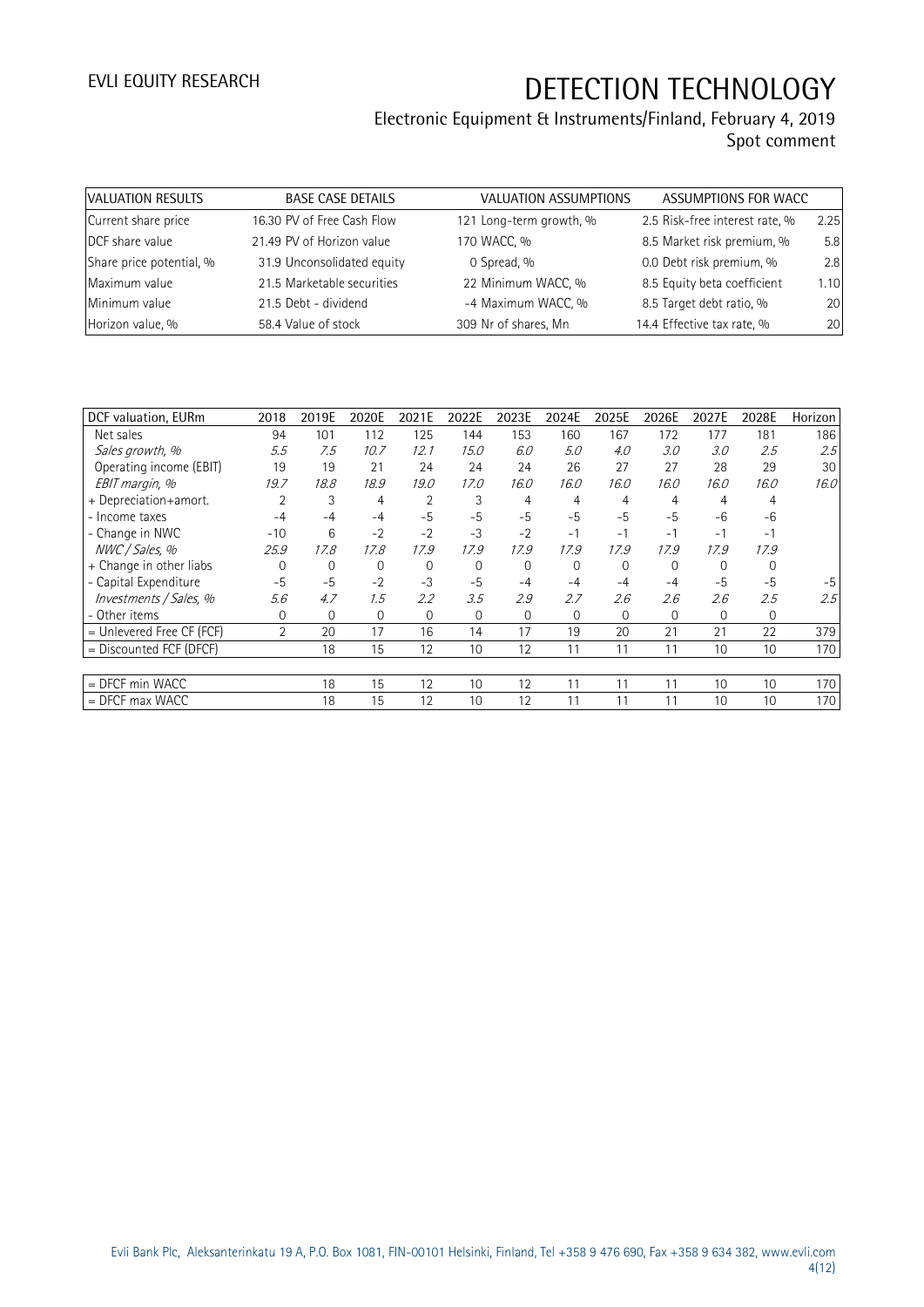| VALUATION RESULTS        | <b>BASE CASE DETAILS</b>   | <b>VALUATION ASSUMPTIONS</b> | ASSUMPTIONS FOR WACC           |      |
|--------------------------|----------------------------|------------------------------|--------------------------------|------|
| Current share price      | 16.30 PV of Free Cash Flow | 121 Long-term growth, %      | 2.5 Risk-free interest rate, % | 2.25 |
| DCF share value          | 21.49 PV of Horizon value  | 170 WACC, %                  | 8.5 Market risk premium, %     | 5.8  |
| Share price potential, % | 31.9 Unconsolidated equity | 0 Spread, %                  | 0.0 Debt risk premium, %       | 2.8  |
| Maximum value            | 21.5 Marketable securities | 22 Minimum WACC, %           | 8.5 Equity beta coefficient    | 1.10 |
| Minimum value            | 21.5 Debt - dividend       | -4 Maximum WACC, %           | 8.5 Target debt ratio, %       | 20   |
| Horizon value, %         | 58.4 Value of stock        | 309 Nr of shares, Mn         | 14.4 Effective tax rate, %     | 20   |

|                             |                | 2019E        |             | 2021E | 2022E        | 2023E       | 2024E    | 2025E    | 2026E        |          |              |         |
|-----------------------------|----------------|--------------|-------------|-------|--------------|-------------|----------|----------|--------------|----------|--------------|---------|
| DCF valuation, EURm         | 2018           |              | 2020E       |       |              |             |          |          |              | 2027E    | 2028E        | Horizon |
| Net sales                   | 94             | 101          | 112         | 125   | 144          | 153         | 160      | 167      | 172          | 177      | 181          | 186     |
| Sales growth, %             | 5.5            | 7.5          | 10.7        | 12.1  | 15.0         | 6.0         | 5.0      | 4.0      | 3.0          | 3.0      | 2.5          | 2.5%    |
| Operating income (EBIT)     | 19             | 19           | 21          | 24    | 24           | 24          | 26       | 27       | 27           | 28       | 29           | 30      |
| EBIT margin, %              | 19.7           | 18.8         | 18.9        | 19.0  | 17.0         | 16.0        | 16.0     | 16.0     | 16.0         | 16.0     | 16.0         | 16.0    |
| + Depreciation+amort.       |                | 3            | 4           | 2     | 3            | 4           | 4        | 4        | 4            | 4        | 4            |         |
| - Income taxes              | -4             | -4           | $-4$        | $-5$  | $-5$         | $-5$        | $-5$     | $-5$     | $-5$         | $-6$     | $-6$         |         |
| - Change in NWC             | $-10$          | 6            | $-2$        | $-2$  | $-3$         | $-2$        | $-1$     | $-1$     | $-1$         | -1       | $-1$         |         |
| NWC / Sales, %              | 25.9           | 17.8         | 17.8        | 17.9  | 17.9         | 17.9        | 17.9     | 17.9     | 17.9         | 17.9     | 17.9         |         |
| + Change in other liabs     | $\Omega$       | $\mathbf 0$  | 0           | 0     | 0            | $\mathbf 0$ | $\Omega$ | 0        | $\mathbf{0}$ | $\Omega$ | $\Omega$     |         |
| - Capital Expenditure       | $-5$           | $-5$         | $-2$        | $-3$  | $-5$         | -4          | -4       | $-4$     | $-4$         | $-5$     | $-5$         | -5      |
| Investments / Sales, %      | 5.6            | 4.7          | 1.5         | 2.2   | 3.5          | 2.9         | 2.7      | 2.6      | 2.6          | 2.6      | 2.5          | 2.5     |
| - Other items               | 0              | $\mathbf{0}$ | $\mathbf 0$ | 0     | $\mathbf{0}$ | $\Omega$    | 0        | $\Omega$ | $\mathbf{0}$ | 0        | $\mathbf{0}$ |         |
| $=$ Unlevered Free CF (FCF) | $\overline{2}$ | 20           | 17          | 16    | 14           | 17          | 19       | 20       | 21           | 21       | 22           | 379     |
| = Discounted FCF (DFCF)     |                | 18           | 15          | 12    | 10           | 12          | 11       | 11       | 11           | 10       | 10           | 170     |
|                             |                |              |             |       |              |             |          |          |              |          |              |         |
| = DFCF min WACC             |                | 18           | 15          | 12    | 10           | 12          | 11       | 11       | 11           | 10       | 10           | 170     |
| $=$ DFCF max WACC           |                | 18           | 15          | 12    | 10           | 12          | 11       | 11       | 11           | 10       | 10           | 170     |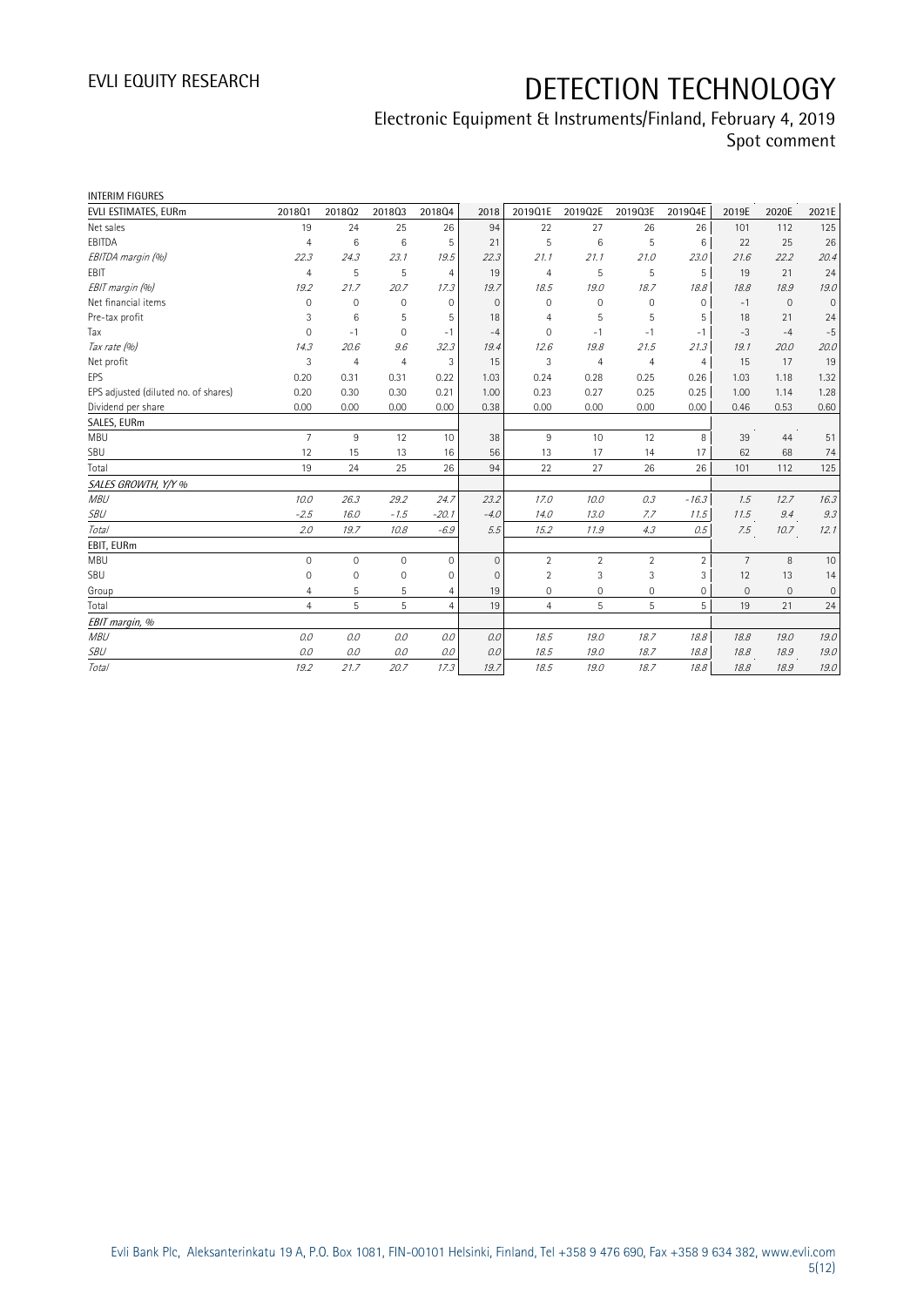| <b>INTERIM FIGURES</b>               |                |                |                |                |              |                |                |                |                |                |              |              |
|--------------------------------------|----------------|----------------|----------------|----------------|--------------|----------------|----------------|----------------|----------------|----------------|--------------|--------------|
| EVLI ESTIMATES, EURm                 | 2018Q1         | 201802         | 201803         | 201804         | 2018         | 2019Q1E        | 2019Q2E        | 2019Q3E        | 2019Q4E        | 2019E          | 2020E        | 2021E        |
| Net sales                            | 19             | 24             | 25             | 26             | 94           | 22             | 27             | 26             | 26             | 101            | 112          | 125          |
| EBITDA                               | 4              | 6              | 6              | 5              | 21           | 5              | 6              | 5              | 6              | 22             | 25           | 26           |
| EBITDA margin (%)                    | 22.3           | 24.3           | 23.1           | 19.5           | 22.3         | 21.1           | 21.1           | 21.0           | 23.0           | 21.6           | 22.2         | 20.4         |
| <b>FBIT</b>                          | $\overline{4}$ | 5              | 5              | $\overline{4}$ | 19           | $\overline{4}$ | 5              | 5              | 5              | 19             | 21           | 24           |
| EBIT margin (%)                      | 19.2           | 21.7           | 20.7           | 17.3           | 19.7         | 18.5           | 19.0           | 18.7           | 18.8           | 18.8           | 18.9         | 19.0         |
| Net financial items                  | $\Omega$       | $\mathbf 0$    | $\mathbf 0$    | $\Omega$       | $\Omega$     | $\Omega$       | 0              | $\mathbf 0$    | $\mathbf 0$    | $-1$           | $\mathbf{0}$ | $\mathbf{0}$ |
| Pre-tax profit                       | 3              | 6              | 5              | 5              | 18           | $\overline{4}$ | 5              | 5              | 5              | 18             | 21           | 24           |
| Tax                                  | 0              | $-1$           | $\mathbf 0$    | $-1$           | $-4$         | $\mathbf 0$    | $-1$           | $-1$           | $-1$           | $-3$           | $-4$         | $-5$         |
| Tax rate (%)                         | 14.3           | 20.6           | 9.6            | 32.3           | 19.4         | 12.6           | 19.8           | 21.5           | 21.3           | 19.1           | 20.0         | 20.0         |
| Net profit                           | 3              | $\overline{4}$ | $\overline{4}$ | 3              | 15           | 3              | $\overline{4}$ | $\overline{4}$ | $\overline{4}$ | 15             | 17           | 19           |
| EPS                                  | 0.20           | 0.31           | 0.31           | 0.22           | 1.03         | 0.24           | 0.28           | 0.25           | 0.26           | 1.03           | 1.18         | 1.32         |
| EPS adjusted (diluted no. of shares) | 0.20           | 0.30           | 0.30           | 0.21           | 1.00         | 0.23           | 0.27           | 0.25           | 0.25           | 1.00           | 1.14         | 1.28         |
| Dividend per share                   | 0.00           | 0.00           | 0.00           | 0.00           | 0.38         | 0.00           | 0.00           | 0.00           | 0.00           | 0.46           | 0.53         | 0.60         |
| SALES, EURm                          |                |                |                |                |              |                |                |                |                |                |              |              |
| <b>MBU</b>                           | $\overline{7}$ | $9\,$          | 12             | 10             | 38           | 9              | 10             | 12             | 8              | 39             | 44           | 51           |
| SBU                                  | 12             | 15             | 13             | 16             | 56           | 13             | 17             | 14             | 17             | 62             | 68           | 74           |
| Total                                | 19             | 24             | 25             | 26             | 94           | 22             | 27             | 26             | 26             | 101            | 112          | 125          |
| SALES GROWTH, Y/Y %                  |                |                |                |                |              |                |                |                |                |                |              |              |
| <b>MBU</b>                           | 10.0           | 26.3           | 29.2           | 24.7           | 23.2         | 17.0           | 10.0           | 0.3            | $-16.3$        | 1.5            | 12.7         | 16.3         |
| SBU                                  | $-2.5$         | 16.0           | $-1.5$         | $-20.1$        | $-4.0$       | 14.0           | 13.0           | 7.7            | 11.5           | 11.5           | 9.4          | $9.3\,$      |
| Total                                | 2.0            | 19.7           | 10.8           | $-6.9$         | 5.5          | 15.2           | 11.9           | 4.3            | 0.5            | 7.5            | 10.7         | 12.1         |
| EBIT, EURm                           |                |                |                |                |              |                |                |                |                |                |              |              |
| <b>MBU</b>                           | 0              | $\mathbf 0$    | $\mathbf{0}$   | 0              | $\mathbf{0}$ | $\overline{2}$ | $\overline{2}$ | $\overline{2}$ | $\overline{2}$ | $\overline{7}$ | 8            | 10           |
| SBU                                  | 0              | $\mathbf{0}$   | $\mathbf 0$    | 0              | $\mathbf 0$  | $\overline{2}$ | 3              | 3              | 3              | 12             | 13           | 14           |
| Group                                | 4              | 5              | 5              | 4              | 19           | 0              | 0              | 0              | 0              | $\mathbf{0}$   | $\mathbf{0}$ | 0            |
| Total                                | $\overline{4}$ | 5              | 5              | $\overline{4}$ | 19           | 4              | 5              | 5              | 5              | 19             | 21           | 24           |
| EBIT margin, %                       |                |                |                |                |              |                |                |                |                |                |              |              |
| <b>MBU</b>                           | 0.0            | 0.0            | 0.0            | 0.0            | 0.0          | 18.5           | 19.0           | 18.7           | 18.8           | 18.8           | 19.0         | 19.0         |
| SBU                                  | 0.0            | 0.0            | 0.0            | $O.O$          | 0.0          | 18.5           | 19.0           | 18.7           | 18.8           | 18.8           | 18.9         | 19.0         |
| Total                                | 19.2           | 21.7           | 20.7           | 17.3           | 19.7         | 18.5           | 19.0           | 18.7           | 18.8           | 18.8           | 18.9         | 19.0         |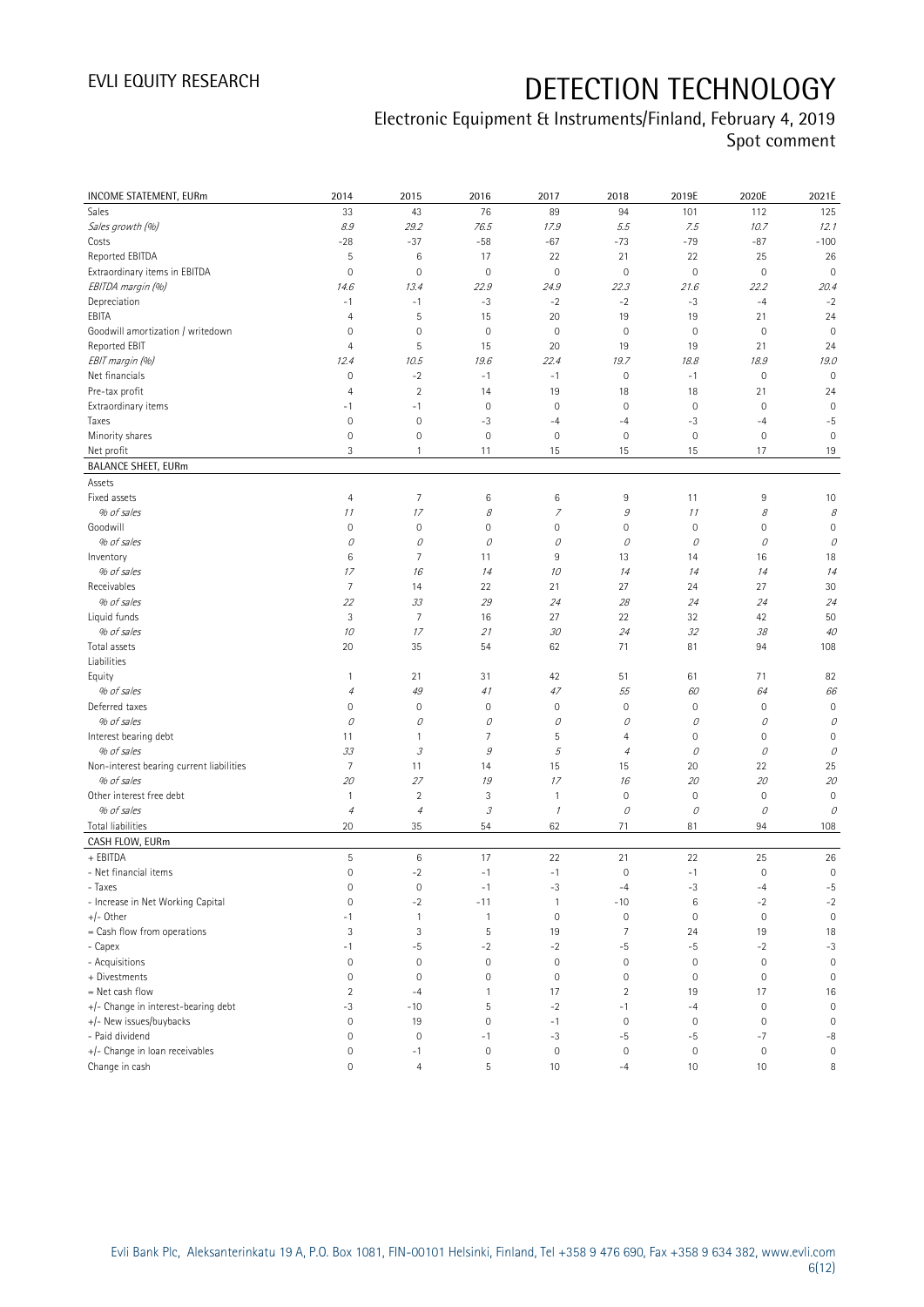| INCOME STATEMENT, EURm                   | 2014                | 2015                       | 2016                        | 2017          | 2018           | 2019E        | 2020E               | 2021E       |
|------------------------------------------|---------------------|----------------------------|-----------------------------|---------------|----------------|--------------|---------------------|-------------|
| Sales                                    | 33                  | 43                         | 76                          | 89            | 94             | 101          | 112                 | 125         |
| Sales growth (%)                         | 8.9                 | 29.2                       | 76.5                        | 17.9          | 5.5            | 7.5          | 10.7                | 12.1        |
| Costs                                    | $-28$               | $-37$                      | $-58$                       | $-67$         | $-73$          | $-79$        | $-87$               | $-100$      |
| Reported EBITDA                          | 5                   | 6                          | 17                          | 22            | 21             | 22           | 25                  | 26          |
| Extraordinary items in EBITDA            | $\mathsf{O}\xspace$ | $\mathbf 0$                | $\mathbf 0$                 | 0             | $\mathbb O$    | $\mathbb O$  | $\mathbf 0$         | $\mathbf 0$ |
| EBITDA margin (%)                        | 14.6                | 13.4                       | 22.9                        | 24.9          | 22.3           | 21.6         | 22.2                | 20.4        |
| Depreciation                             | $-1$                | $-1$                       | $-3$                        | $-2$          | $-2$           | $-3$         | $-4$                | $-2$        |
| EBITA                                    | $\overline{4}$      | 5                          | 15                          | 20            | 19             | 19           | 21                  | 24          |
| Goodwill amortization / writedown        | $\mathsf{O}\xspace$ | $\mathbf 0$                | $\mathbf 0$                 | $\mathbf 0$   | $\mathbf 0$    | $\mathbf 0$  | $\overline{0}$      | $\mathbf 0$ |
| Reported EBIT                            | 4                   | $\mathsf S$                | 15                          | 20            | 19             | 19           | 21                  | 24          |
| EBIT margin (%)                          | 12.4                | 10.5                       | 19.6                        | 22.4          | 19.7           | 18.8         | 18.9                | 19.0        |
| Net financials                           | $\mathsf{O}\xspace$ | $-2$                       | $-1$                        | $-1$          | $\mathbf 0$    | $-1$         | $\mathbf 0$         | $\mathbb O$ |
| Pre-tax profit                           | $\overline{4}$      | $\overline{2}$             | 14                          | 19            | 18             | 18           | 21                  | 24          |
| Extraordinary items                      | $-1$                | $-1$                       | $\mathbf 0$                 | $\mathbf 0$   | $\mathbf 0$    | $\mathbf 0$  | $\mathbf 0$         | $\mathbf 0$ |
| Taxes                                    | $\mathbf 0$         | $\mathbf 0$                | $-3$                        | $-4$          | $-4$           | $-3$         | $-4$                | $-5$        |
| Minority shares                          | $\mathsf{O}\xspace$ | $\mathbf 0$                | $\mathbf 0$                 | $\mathbf 0$   | $\mathbf 0$    | $\mathbf 0$  | $\mathbf 0$         | $\mathbf 0$ |
| Net profit                               | 3                   | 1                          | 11                          | 15            | 15             | 15           | 17                  | 19          |
| <b>BALANCE SHEET, EURm</b>               |                     |                            |                             |               |                |              |                     |             |
| Assets                                   |                     |                            |                             |               |                |              |                     |             |
| Fixed assets                             | $\overline{4}$      | $\overline{7}$             | 6                           | 6             | 9              | 11           | 9                   | 10          |
| % of sales                               | 11                  | 17                         | 8                           | 7             | $\mathcal G$   | 11           | 8                   | 8           |
| Goodwill                                 | $\circ$             | $\mathbf 0$                | 0                           | 0             | $\mathbf 0$    | $\mathbf 0$  | 0                   | $\mathbf 0$ |
| % of sales                               | 0                   | 0                          | 0                           | 0             | 0              | $\mathcal O$ | 0                   | 0           |
| Inventory                                | 6                   | 7                          | 11                          | 9             | 13             | 14           | 16                  | 18          |
| % of sales                               | 17                  | 16                         | 14                          | 10            | 14             | 14           | 14                  | 14          |
| Receivables                              | 7                   | 14                         | 22                          | 21            | 27             | 24           | 27                  | 30          |
| % of sales                               | 22                  | 33                         | 29                          | 24            | 28             | 24           | 24                  | 24          |
| Liquid funds                             | $\sqrt{3}$          | $\overline{7}$             | 16                          | 27            | 22             | 32           | 42                  | 50          |
| % of sales                               | 10                  | 17                         | 21                          | 30            | 24             | 32           | 38                  | 40          |
| Total assets                             | 20                  | 35                         | 54                          | 62            | 71             | 81           | 94                  | 108         |
| Liabilities                              |                     |                            |                             |               |                |              |                     |             |
| Equity                                   | $\mathbf{1}$        | 21                         | 31                          | 42            | 51             | 61           | 71                  | 82          |
| % of sales                               | $\sqrt{4}$          | 49                         | 41                          | 47            | 55             | 60           | 64                  | 66          |
| Deferred taxes                           | $\circ$             | $\mathbf 0$                | $\mathsf 0$                 | 0             | $\mathbf 0$    | $\mathbf 0$  | $\mathbf 0$         | $\mathbf 0$ |
| % of sales                               | 0                   | 0                          | 0                           | 0             | 0              | 0            | 0                   | 0           |
| Interest bearing debt                    | 11                  | 1                          | 7                           | 5             | $\overline{4}$ | $\mathbf 0$  | $\mathbf 0$         | 0           |
| % of sales                               | 33                  | $\ensuremath{\mathcal{S}}$ | $\mathcal G$                | 5             | $\overline{4}$ | $\mathcal O$ | 0                   | 0           |
| Non-interest bearing current liabilities | $\overline{7}$      | 11                         | 14                          | 15            | 15             | 20           | 22                  | 25          |
| % of sales                               | 20                  | 27                         | 19                          | 17            | 16             | 20           | 20                  | 20          |
| Other interest free debt                 | $\mathbf{1}$        | $\sqrt{2}$                 | 3                           | $\mathbf{1}$  | $\mathbf 0$    | $\mathbb O$  | $\mathsf{O}\xspace$ | $\mathbf 0$ |
| % of sales                               | $\it 4$             | $\it 4$                    | $\mathcal{S}_{\mathcal{S}}$ | $\mathcal{I}$ | 0              | $\mathcal O$ | 0                   | 0           |
| Total liabilities                        | 20                  | 35                         | 54                          | 62            | 71             | 81           | 94                  | 108         |
| CASH FLOW, EURm                          |                     |                            |                             |               |                |              |                     |             |
| + EBITDA                                 | 5                   | $\,6\,$                    | 17                          | 22            | 21             | 22           | 25                  | 26          |
| - Net financial items                    | $\overline{0}$      | $-2$                       | $-1$                        | $-1$          | $\mathbf 0$    | $-1$         | $\mathbf 0$         | $\mathbf 0$ |
| - Taxes                                  | $\mathsf{O}\xspace$ | $\mathbf 0$                | $-1$                        | $-3$          | $-4$           | $-3$         | $-4$                | $-5$        |
| - Increase in Net Working Capital        | $\mathbf 0$         | $-2$                       | $-11$                       | 1             | $-10$          | $6\,$        | $-2$                | $-2$        |
| $+/-$ Other                              | $-1$                | 1                          | $\mathbf{1}$                | $\mathbf 0$   | $\mathbf 0$    | $\mathbf 0$  | $\mathbf 0$         | $\mathbf 0$ |
| = Cash flow from operations              | 3                   | $\ensuremath{\mathsf{3}}$  | 5                           | 19            | $\overline{7}$ | 24           | 19                  | 18          |
| - Capex                                  | $-1$                | $-5$                       | $-2$                        | $-2$          | $-5$           | $-5$         | $-2$                | $-3$        |
| - Acquisitions                           | $\mathsf{O}\xspace$ | $\mathbf 0$                | $\mathbf 0$                 | 0             | $\mathbf 0$    | $\mathbb O$  | $\boldsymbol{0}$    | $\mathbb O$ |
| + Divestments                            | $\mathbf 0$         | $\mathbf 0$                | $\mathbf 0$                 | $\mathbf 0$   | $\mathbf 0$    | $\mathbf 0$  | $\mathbf 0$         | $\mathbf 0$ |
| $=$ Net cash flow                        | $\overline{2}$      | $-4$                       | 1                           | 17            | $\overline{2}$ | 19           | 17                  | 16          |
| +/- Change in interest-bearing debt      | -3                  | $-10$                      | 5                           | $-2$          | $-1$           | $-4$         | $\mathbf 0$         | $\mathbb O$ |
| +/- New issues/buybacks                  | $\mathsf{O}\xspace$ | 19                         | $\mathbb O$                 | $-1$          | $\mathbf 0$    | $\mathbf 0$  | 0                   | $\mathbf 0$ |
| - Paid dividend                          | $\circ$             | $\mathbf 0$                | $-1$                        | $-3$          | $-5$           | $-5$         | $-7$                | $-8$        |
| +/- Change in loan receivables           | $\circ$             | $-1$                       | $\mathbf 0$                 | $\mathbf 0$   | $\mathbf 0$    | $\mathbf 0$  | $\mathbb O$         | 0           |
| Change in cash                           | $\circ$             | $\overline{4}$             | 5                           | 10            | $-4$           | 10           | 10                  | 8           |
|                                          |                     |                            |                             |               |                |              |                     |             |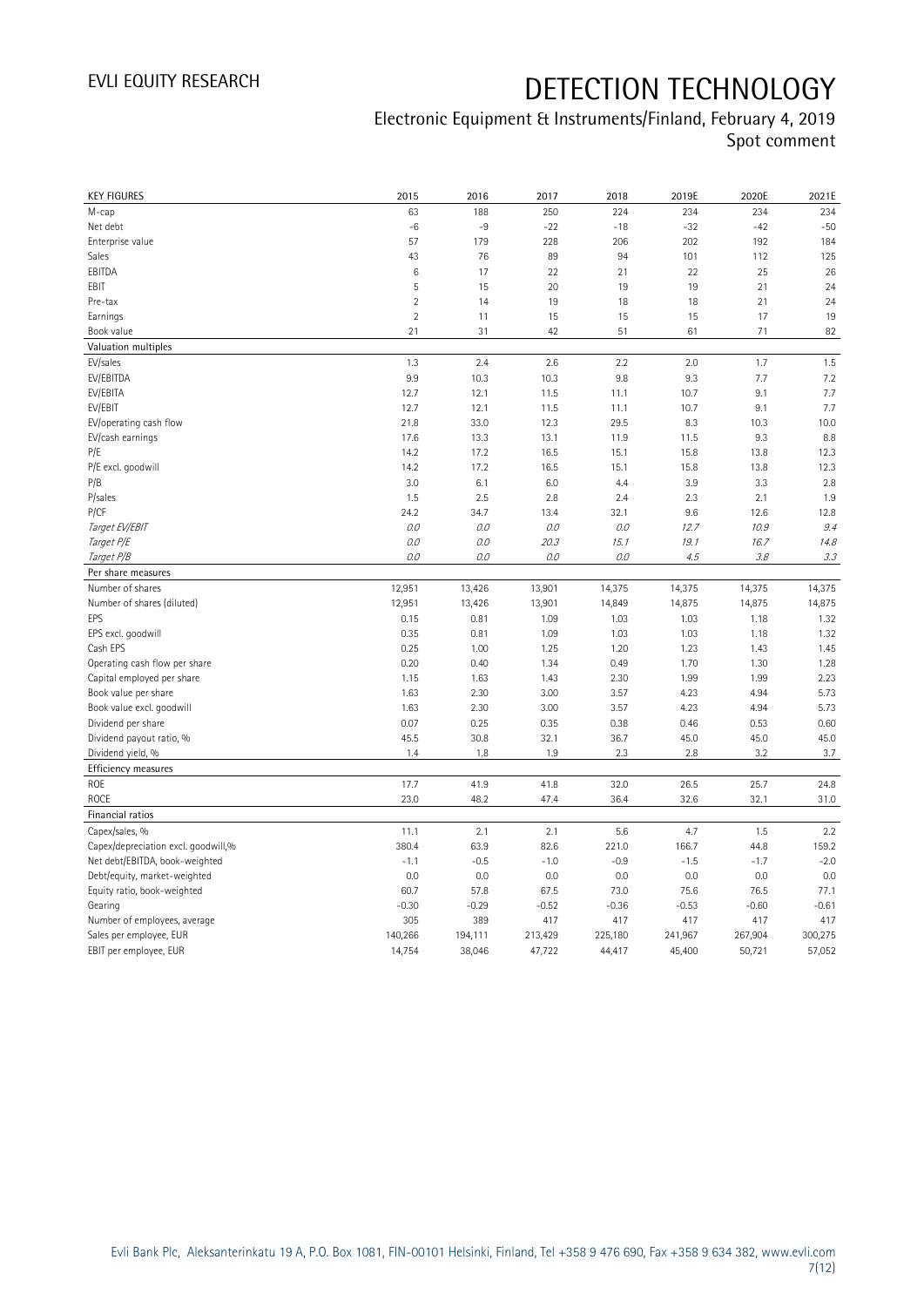| <b>KEY FIGURES</b>                  | 2015           | 2016    | 2017    | 2018    | 2019E   | 2020E   | 2021E   |
|-------------------------------------|----------------|---------|---------|---------|---------|---------|---------|
| M-cap                               | 63             | 188     | 250     | 224     | 234     | 234     | 234     |
| Net debt                            | $-6$           | $-9$    | $-22$   | $-18$   | $-32$   | $-42$   | $-50$   |
| Enterprise value                    | 57             | 179     | 228     | 206     | 202     | 192     | 184     |
| Sales                               | 43             | 76      | 89      | 94      | 101     | 112     | 125     |
| EBITDA                              | 6              | 17      | 22      | 21      | 22      | 25      | 26      |
| EBIT                                | 5              | 15      | 20      | 19      | 19      | 21      | 24      |
| Pre-tax                             | $\overline{2}$ | 14      | 19      | 18      | 18      | 21      | 24      |
| Earnings                            | $\overline{2}$ | 11      | 15      | 15      | 15      | 17      | 19      |
| Book value                          | 21             | 31      | 42      | 51      | 61      | 71      | 82      |
| Valuation multiples                 |                |         |         |         |         |         |         |
| EV/sales                            | 1.3            | 2.4     | 2.6     | 2.2     | 2.0     | 1.7     | 1.5     |
| EV/EBITDA                           | 9.9            | 10.3    | 10.3    | 9.8     | 9.3     | 7.7     | 7.2     |
| EV/EBITA                            | 12.7           | 12.1    | 11.5    | 11.1    | 10.7    | 9.1     | 7.7     |
| EV/EBIT                             | 12.7           | 12.1    | 11.5    | 11.1    | 10.7    | 9.1     | 7.7     |
| EV/operating cash flow              | 21.8           | 33.0    | 12.3    | 29.5    | 8.3     | 10.3    | 10.0    |
| EV/cash earnings                    | 17.6           | 13.3    | 13.1    | 11.9    | 11.5    | 9.3     | 8.8     |
| P/E                                 | 14.2           | 17.2    | 16.5    | 15.1    | 15.8    | 13.8    | 12.3    |
| P/E excl. goodwill                  | 14.2           | 17.2    | 16.5    | 15.1    | 15.8    | 13.8    | 12.3    |
| P/B                                 | 3.0            | 6.1     | 6.0     | 4.4     | 3.9     | 3.3     | 2.8     |
| P/sales                             | 1.5            | 2.5     | 2.8     | 2.4     | 2.3     | 2.1     | 1.9     |
| P/CF                                | 24.2           | 34.7    | 13.4    | 32.1    | 9.6     | 12.6    | 12.8    |
| Target EV/EBIT                      | 0.0            | 0.0     | 0.0     | 0.0     | 12.7    | 10.9    | 9.4     |
| Target P/E                          | $O.O$          | 0.0     | 20.3    | 15.1    | 19.1    | 16.7    | 14.8    |
| Target P/B                          | $0.0$          | 0.0     | 0.0     | $O.O$   | 4.5     | 3.8     | 3.3     |
| Per share measures                  |                |         |         |         |         |         |         |
| Number of shares                    | 12,951         | 13,426  | 13,901  | 14,375  | 14,375  | 14,375  | 14,375  |
| Number of shares (diluted)          | 12,951         | 13,426  | 13,901  | 14,849  | 14,875  | 14,875  | 14,875  |
| EPS                                 | 0.15           | 0.81    | 1.09    | 1.03    | 1.03    | 1.18    | 1.32    |
| EPS excl. goodwill                  | 0.35           | 0.81    | 1.09    | 1.03    | 1.03    | 1.18    | 1.32    |
| Cash EPS                            | 0.25           | 1.00    | 1.25    | 1.20    | 1.23    | 1.43    | 1.45    |
| Operating cash flow per share       | 0.20           | 0.40    | 1.34    | 0.49    | 1.70    | 1.30    | 1.28    |
| Capital employed per share          | 1.15           | 1.63    | 1.43    | 2.30    | 1.99    | 1.99    | 2.23    |
| Book value per share                | 1.63           | 2.30    | 3.00    | 3.57    | 4.23    | 4.94    | 5.73    |
| Book value excl. goodwill           | 1.63           | 2.30    | 3.00    | 3.57    | 4.23    | 4.94    | 5.73    |
| Dividend per share                  | 0.07           | 0.25    | 0.35    | 0.38    | 0.46    | 0.53    | 0.60    |
| Dividend payout ratio, %            | 45.5           | 30.8    | 32.1    | 36.7    | 45.0    | 45.0    | 45.0    |
| Dividend yield, %                   | 1.4            | 1.8     | 1.9     | 2.3     | 2.8     | 3.2     | 3.7     |
| Efficiency measures                 |                |         |         |         |         |         |         |
| ROE                                 | 17.7           | 41.9    | 41.8    | 32.0    | 26.5    | 25.7    | 24.8    |
| <b>ROCE</b>                         | 23.0           | 48.2    | 47.4    | 36.4    | 32.6    | 32.1    | 31.0    |
| Financial ratios                    |                |         |         |         |         |         |         |
| Capex/sales, %                      | 11.1           | 2.1     | 2.1     | 5.6     | 4.7     | 1.5     | 2.2     |
| Capex/depreciation excl. goodwill,% | 380.4          | 63.9    | 82.6    | 221.0   | 166.7   | 44.8    | 159.2   |
| Net debt/EBITDA, book-weighted      | $-1.1$         | $-0.5$  | $-1.0$  | $-0.9$  | $-1.5$  | $-1.7$  | $-2.0$  |
| Debt/equity, market-weighted        | 0.0            | 0.0     | 0.0     | 0.0     | 0.0     | 0.0     | 0.0     |
| Equity ratio, book-weighted         | 60.7           | 57.8    | 67.5    | 73.0    | 75.6    | 76.5    | 77.1    |
| Gearing                             | $-0.30$        | $-0.29$ | $-0.52$ | $-0.36$ | $-0.53$ | $-0.60$ | $-0.61$ |
| Number of employees, average        | 305            | 389     | 417     | 417     | 417     | 417     | 417     |
| Sales per employee, EUR             | 140,266        | 194,111 | 213,429 | 225,180 | 241,967 | 267,904 | 300,275 |
| EBIT per employee, EUR              | 14,754         | 38,046  | 47,722  | 44,417  | 45,400  | 50,721  | 57,052  |
|                                     |                |         |         |         |         |         |         |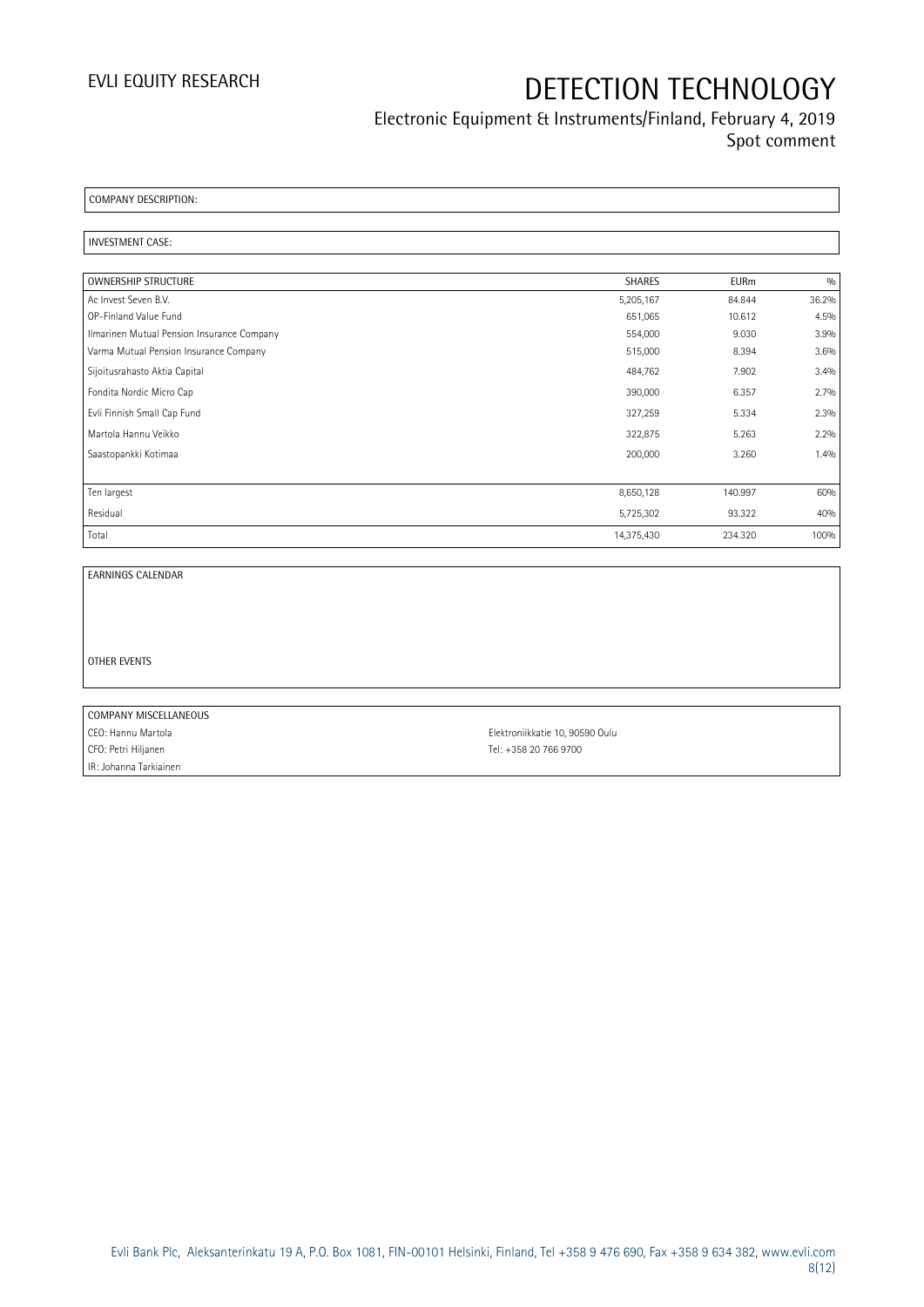## Electronic Equipment & Instruments/Finland, February 4, 2019 Spot comment

COMPANY DESCRIPTION:

### INVESTMENT CASE:

| OWNERSHIP STRUCTURE                        | <b>SHARES</b> | <b>EURm</b> | 0/0   |
|--------------------------------------------|---------------|-------------|-------|
| Ac Invest Seven B.V.                       | 5,205,167     | 84.844      | 36.2% |
| OP-Finland Value Fund                      | 651,065       | 10.612      | 4.5%  |
| Ilmarinen Mutual Pension Insurance Company | 554,000       | 9.030       | 3.9%  |
| Varma Mutual Pension Insurance Company     | 515,000       | 8.394       | 3.6%  |
| Sijoitusrahasto Aktia Capital              | 484,762       | 7.902       | 3.4%  |
| Fondita Nordic Micro Cap                   | 390,000       | 6.357       | 2.7%  |
| Evli Finnish Small Cap Fund                | 327,259       | 5.334       | 2.3%  |
| Martola Hannu Veikko                       | 322,875       | 5.263       | 2.2%  |
| Saastopankki Kotimaa                       | 200,000       | 3.260       | 1.4%  |
|                                            |               |             |       |
| Ten largest                                | 8,650,128     | 140.997     | 60%   |
| Residual                                   | 5,725,302     | 93.322      | 40%   |
| Total                                      | 14,375,430    | 234.320     | 100%  |

EARNINGS CALENDAR

OTHER EVENTS

COMPANY MISCELLANEOUS CEO: Hannu Martola Elektroniikkatie 10, 90590 Oulu CFO: Petri Hiljanen Tel: +358 20 766 9700 IR: Johanna Tarkiainen

Evli Bank Plc, Aleksanterinkatu 19 A, P.O. Box 1081, FIN-00101 Helsinki, Finland, Tel +358 9 476 690, Fax +358 9 634 382, [www.evli.com](http://www.evli.com/) 8(12)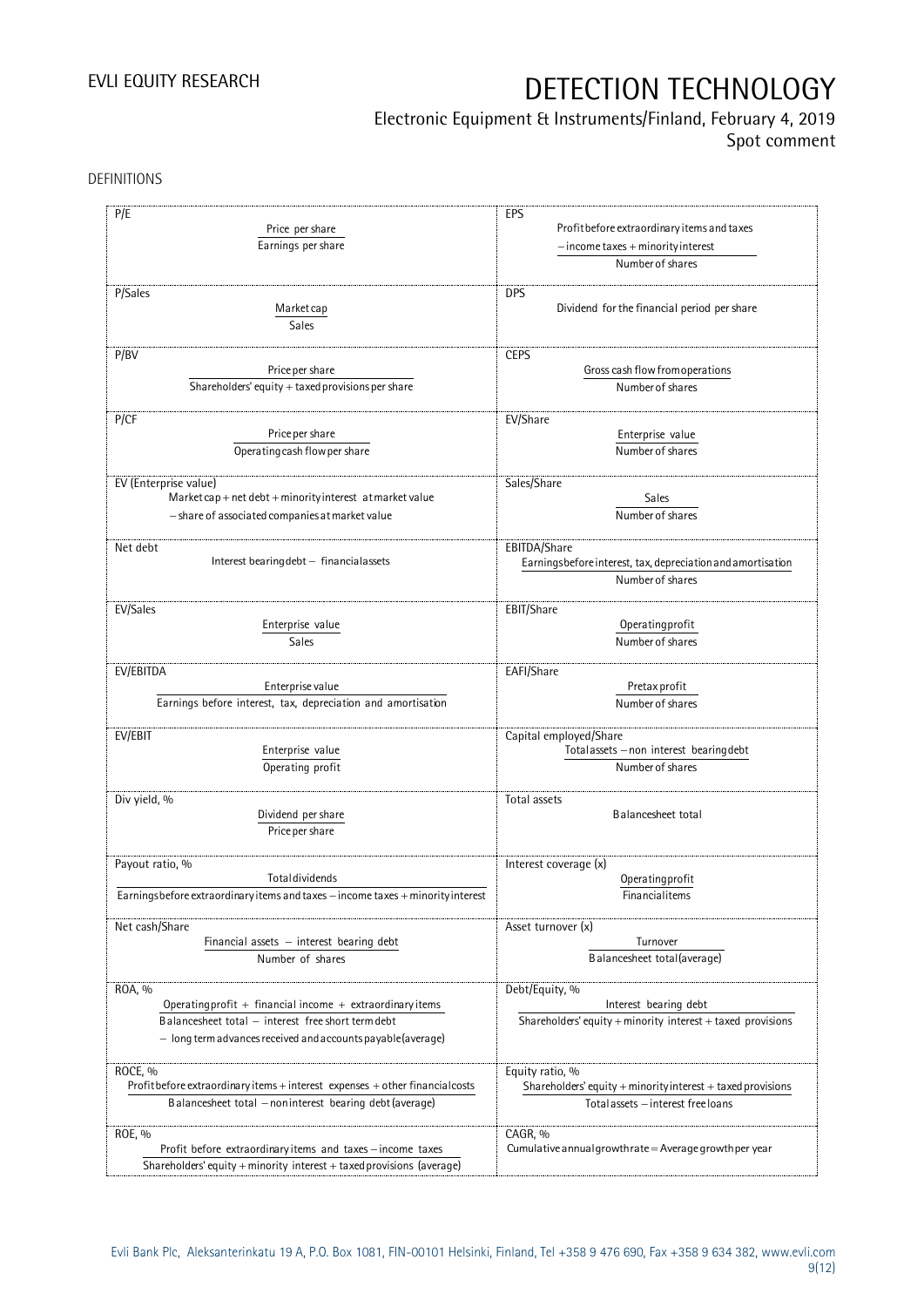## Electronic Equipment & Instruments/Finland, February 4, 2019

Spot comment

DEFINITIONS

| P/E                                                                               | EPS                                                                                   |  |  |
|-----------------------------------------------------------------------------------|---------------------------------------------------------------------------------------|--|--|
| Price per share                                                                   | Profit before extraordinary items and taxes<br>$-$ income taxes $+$ minority interest |  |  |
|                                                                                   |                                                                                       |  |  |
| Earnings per share                                                                |                                                                                       |  |  |
|                                                                                   | Number of shares                                                                      |  |  |
|                                                                                   |                                                                                       |  |  |
| P/Sales                                                                           | <b>DPS</b>                                                                            |  |  |
| Market cap                                                                        | Dividend for the financial period per share                                           |  |  |
| Sales                                                                             |                                                                                       |  |  |
|                                                                                   |                                                                                       |  |  |
| P/BV                                                                              | <b>CEPS</b>                                                                           |  |  |
| Price per share                                                                   | Gross cash flow from operations                                                       |  |  |
| Shareholders' equity $+$ taxed provisions per share                               | Number of shares                                                                      |  |  |
|                                                                                   |                                                                                       |  |  |
| P/CF                                                                              | EV/Share                                                                              |  |  |
| Price per share                                                                   | Enterprise value                                                                      |  |  |
| Operating cash flow per share                                                     | Number of shares                                                                      |  |  |
|                                                                                   |                                                                                       |  |  |
| EV (Enterprise value)                                                             | Sales/Share                                                                           |  |  |
| Market cap + net debt + minority interest at market value                         | Sales                                                                                 |  |  |
| - share of associated companies at market value                                   | Number of shares                                                                      |  |  |
|                                                                                   |                                                                                       |  |  |
| Net debt                                                                          | EBITDA/Share                                                                          |  |  |
| Interest bearing debt - financial assets                                          | Earningsbefore interest, tax, depreciation and amortisation                           |  |  |
|                                                                                   | Number of shares                                                                      |  |  |
|                                                                                   |                                                                                       |  |  |
| EV/Sales                                                                          | EBIT/Share                                                                            |  |  |
| Enterprise value                                                                  | Operating profit                                                                      |  |  |
| Sales                                                                             | Number of shares                                                                      |  |  |
|                                                                                   |                                                                                       |  |  |
| EV/EBITDA                                                                         | EAFI/Share                                                                            |  |  |
| Enterprise value                                                                  | Pretax profit                                                                         |  |  |
| Earnings before interest, tax, depreciation and amortisation                      | Number of shares                                                                      |  |  |
|                                                                                   |                                                                                       |  |  |
| EV/EBIT                                                                           | Capital employed/Share                                                                |  |  |
| Enterprise value                                                                  | Totalassets - non interest bearing debt                                               |  |  |
| Operating profit                                                                  | Number of shares                                                                      |  |  |
|                                                                                   |                                                                                       |  |  |
| Div yield, %                                                                      | Total assets                                                                          |  |  |
| Dividend per share                                                                | Balancesheet total                                                                    |  |  |
| Price per share                                                                   |                                                                                       |  |  |
|                                                                                   |                                                                                       |  |  |
| Payout ratio, %                                                                   | Interest coverage (x)                                                                 |  |  |
| Totaldividends                                                                    | Operatingprofit                                                                       |  |  |
| Earningsbefore extraordinary items and taxes - income taxes + minority interest   | Financialitems                                                                        |  |  |
|                                                                                   |                                                                                       |  |  |
| Net cash/Share                                                                    | Asset turnover (x)                                                                    |  |  |
| Financial assets $-$ interest bearing debt                                        | Turnover                                                                              |  |  |
| Number of shares                                                                  | Balancesheet total(average)                                                           |  |  |
|                                                                                   |                                                                                       |  |  |
| ROA, %                                                                            | Debt/Equity, %                                                                        |  |  |
| Operating profit $+$ financial income $+$ extraordinary items                     | Interest bearing debt                                                                 |  |  |
| Balancesheet total - interest free short term debt                                | Shareholders' equity $+$ minority interest $+$ taxed provisions                       |  |  |
| $-$ long term advances received and accounts payable (average)                    |                                                                                       |  |  |
|                                                                                   |                                                                                       |  |  |
| ROCE, %                                                                           | Equity ratio, %                                                                       |  |  |
| Profit before extraordinary items $+$ interest expenses $+$ other financial costs | Shareholders' equity $+$ minority interest $+$ taxed provisions                       |  |  |
| Balancesheet total - noninterest bearing debt (average)                           | Total assets - interest free loans                                                    |  |  |
|                                                                                   |                                                                                       |  |  |
| ROE, %                                                                            | CAGR, %                                                                               |  |  |
| Profit before extraordinary items and taxes - income taxes                        | Cumulative annual growth rate = Average growth per year                               |  |  |
| Shareholders' equity + minority interest + taxed provisions (average)             |                                                                                       |  |  |
|                                                                                   |                                                                                       |  |  |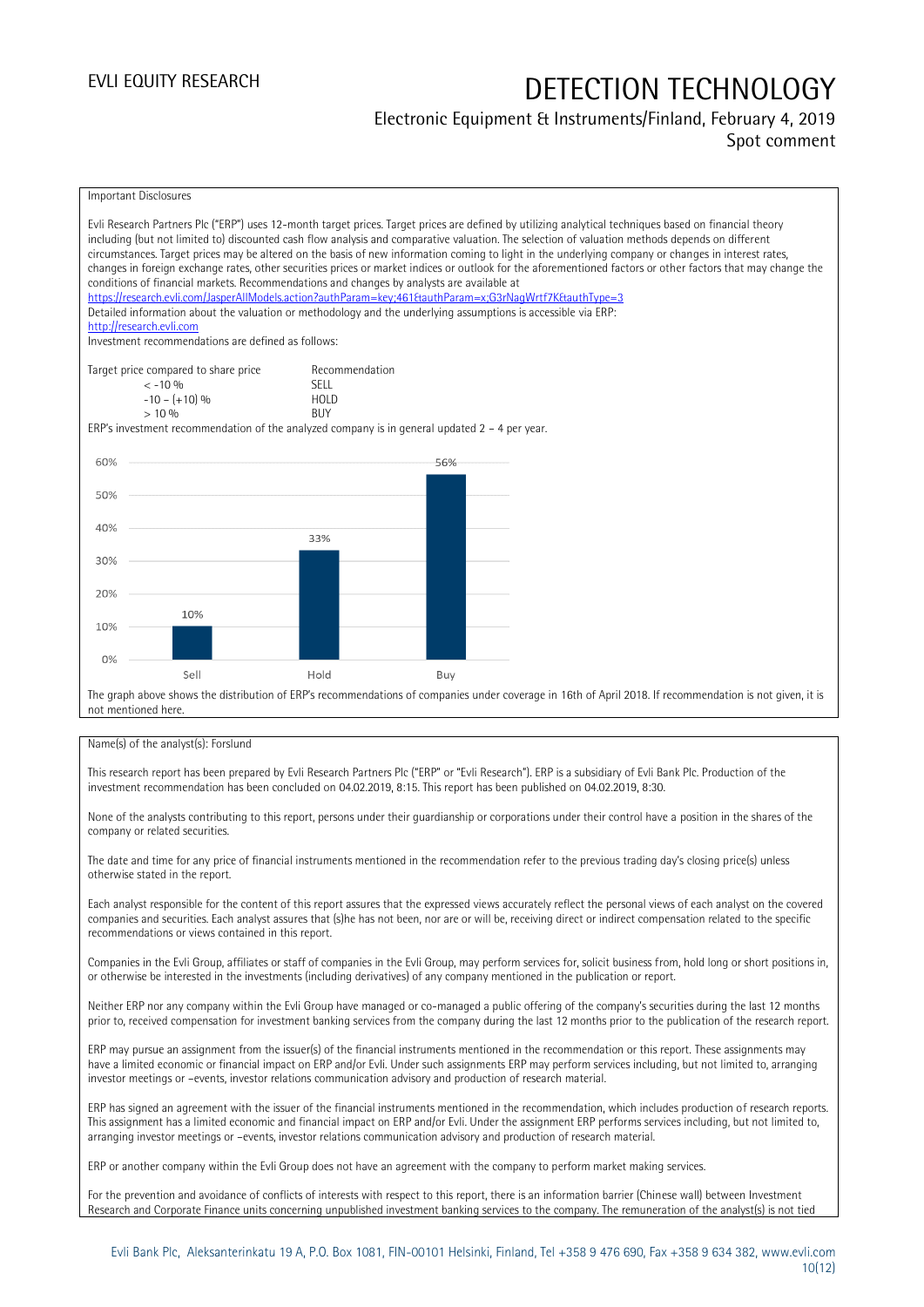## Electronic Equipment & Instruments/Finland, February 4, 2019

### Spot comment



### Name(s) of the analyst(s): Forslund

This research report has been prepared by Evli Research Partners Plc ("ERP" or "Evli Research"). ERP is a subsidiary of Evli Bank Plc. Production of the investment recommendation has been concluded on 04.02.2019, 8:15. This report has been published on 04.02.2019, 8:30.

None of the analysts contributing to this report, persons under their guardianship or corporations under their control have a position in the shares of the company or related securities.

The date and time for any price of financial instruments mentioned in the recommendation refer to the previous trading day's closing price(s) unless otherwise stated in the report.

Each analyst responsible for the content of this report assures that the expressed views accurately reflect the personal views of each analyst on the covered companies and securities. Each analyst assures that (s)he has not been, nor are or will be, receiving direct or indirect compensation related to the specific recommendations or views contained in this report.

Companies in the Evli Group, affiliates or staff of companies in the Evli Group, may perform services for, solicit business from, hold long or short positions in, or otherwise be interested in the investments (including derivatives) of any company mentioned in the publication or report.

Neither ERP nor any company within the Evli Group have managed or co-managed a public offering of the company's securities during the last 12 months prior to, received compensation for investment banking services from the company during the last 12 months prior to the publication of the research report.

ERP may pursue an assignment from the issuer(s) of the financial instruments mentioned in the recommendation or this report. These assignments may have a limited economic or financial impact on ERP and/or Evli. Under such assignments ERP may perform services including, but not limited to, arranging investor meetings or –events, investor relations communication advisory and production of research material.

ERP has signed an agreement with the issuer of the financial instruments mentioned in the recommendation, which includes production of research reports. This assignment has a limited economic and financial impact on ERP and/or Evli. Under the assignment ERP performs services including, but not limited to, arranging investor meetings or –events, investor relations communication advisory and production of research material.

ERP or another company within the Evli Group does not have an agreement with the company to perform market making services.

For the prevention and avoidance of conflicts of interests with respect to this report, there is an information barrier (Chinese wall) between Investment Research and Corporate Finance units concerning unpublished investment banking services to the company. The remuneration of the analyst(s) is not tied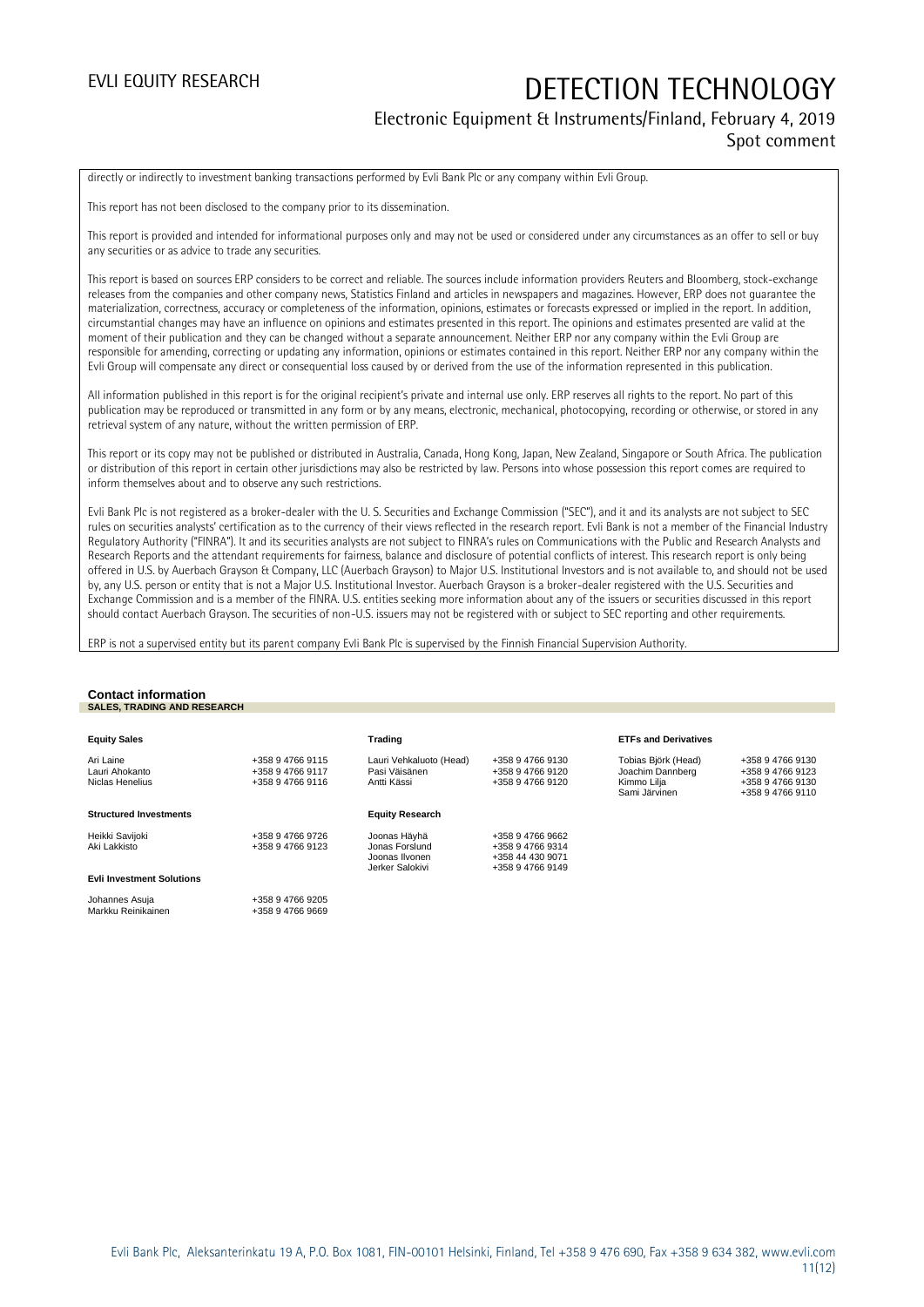### Electronic Equipment & Instruments/Finland, February 4, 2019 Spot comment

directly or indirectly to investment banking transactions performed by Evli Bank Plc or any company within Evli Group.

This report has not been disclosed to the company prior to its dissemination.

This report is provided and intended for informational purposes only and may not be used or considered under any circumstances as an offer to sell or buy any securities or as advice to trade any securities.

This report is based on sources ERP considers to be correct and reliable. The sources include information providers Reuters and Bloomberg, stock-exchange releases from the companies and other company news, Statistics Finland and articles in newspapers and magazines. However, ERP does not guarantee the materialization, correctness, accuracy or completeness of the information, opinions, estimates or forecasts expressed or implied in the report. In addition, circumstantial changes may have an influence on opinions and estimates presented in this report. The opinions and estimates presented are valid at the moment of their publication and they can be changed without a separate announcement. Neither ERP nor any company within the Evli Group are responsible for amending, correcting or updating any information, opinions or estimates contained in this report. Neither ERP nor any company within the Evli Group will compensate any direct or consequential loss caused by or derived from the use of the information represented in this publication.

All information published in this report is for the original recipient's private and internal use only. ERP reserves all rights to the report. No part of this publication may be reproduced or transmitted in any form or by any means, electronic, mechanical, photocopying, recording or otherwise, or stored in any retrieval system of any nature, without the written permission of ERP.

This report or its copy may not be published or distributed in Australia, Canada, Hong Kong, Japan, New Zealand, Singapore or South Africa. The publication or distribution of this report in certain other jurisdictions may also be restricted by law. Persons into whose possession this report comes are required to inform themselves about and to observe any such restrictions.

Evli Bank Plc is not registered as a broker-dealer with the U. S. Securities and Exchange Commission ("SEC"), and it and its analysts are not subject to SEC rules on securities analysts' certification as to the currency of their views reflected in the research report. Evli Bank is not a member of the Financial Industry Regulatory Authority ("FINRA"). It and its securities analysts are not subject to FINRA's rules on Communications with the Public and Research Analysts and Research Reports and the attendant requirements for fairness, balance and disclosure of potential conflicts of interest. This research report is only being offered in U.S. by Auerbach Grayson & Company, LLC (Auerbach Grayson) to Major U.S. Institutional Investors and is not available to, and should not be used by, any U.S. person or entity that is not a Major U.S. Institutional Investor. Auerbach Grayson is a broker-dealer registered with the U.S. Securities and Exchange Commission and is a member of the FINRA. U.S. entities seeking more information about any of the issuers or securities discussed in this report should contact Auerbach Grayson. The securities of non-U.S. issuers may not be registered with or subject to SEC reporting and other requirements.

ERP is not a supervised entity but its parent company Evli Bank Plc is supervised by the Finnish Financial Supervision Authority.

### **Contact information SALES, TRADING AND RESEARCH**

| <b>Equity Sales</b>                            |                                                          | Trading                                                             |                                                                              | <b>ETFs and Derivatives</b>                                             |                                                                              |
|------------------------------------------------|----------------------------------------------------------|---------------------------------------------------------------------|------------------------------------------------------------------------------|-------------------------------------------------------------------------|------------------------------------------------------------------------------|
| Ari Laine<br>Lauri Ahokanto<br>Niclas Henelius | +358 9 4766 9115<br>+358 9 4766 9117<br>+358 9 4766 9116 | Lauri Vehkaluoto (Head)<br>Pasi Väisänen<br>Antti Kässi             | +358 9 4766 9130<br>+358 9 4766 9120<br>+358 9 4766 9120                     | Tobias Björk (Head)<br>Joachim Dannberg<br>Kimmo Lilja<br>Sami Järvinen | +358 9 4766 9130<br>+358 9 4766 9123<br>+358 9 4766 9130<br>+358 9 4766 9110 |
| <b>Structured Investments</b>                  |                                                          | <b>Equity Research</b>                                              |                                                                              |                                                                         |                                                                              |
| Heikki Savijoki<br>Aki Lakkisto                | +358 9 4766 9726<br>+358 9 4766 9123                     | Joonas Häyhä<br>Jonas Forslund<br>Joonas Ilvonen<br>Jerker Salokivi | +358 9 4766 9662<br>+358 9 4766 9314<br>+358 44 430 9071<br>+358 9 4766 9149 |                                                                         |                                                                              |
| <b>Evli Investment Solutions</b>               |                                                          |                                                                     |                                                                              |                                                                         |                                                                              |
| Johannes Asuja<br>Markku Reinikainen           | +358 9 4766 9205<br>+358 9 4766 9669                     |                                                                     |                                                                              |                                                                         |                                                                              |